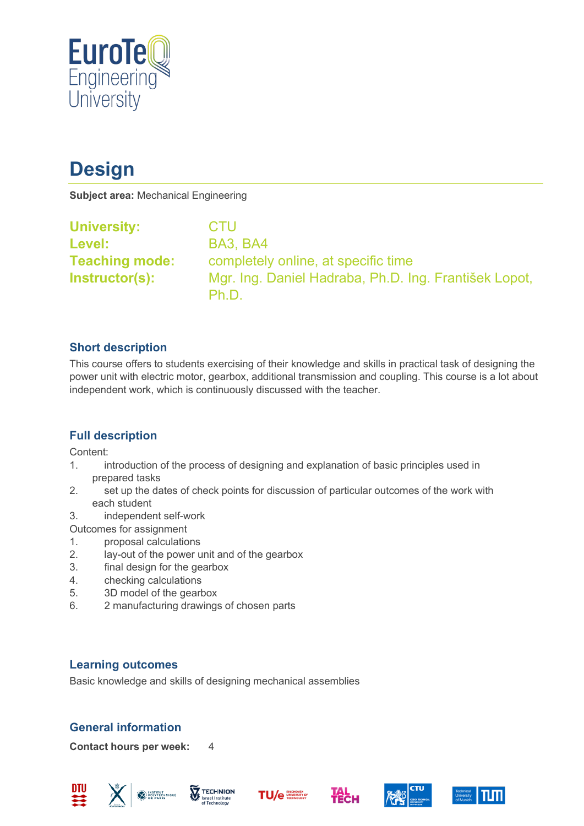

# **Design**

**Subject area:** Mechanical Engineering

| <b>University:</b>    | <b>CTU</b>                                                     |
|-----------------------|----------------------------------------------------------------|
| <b>Level:</b>         | <b>BA3, BA4</b>                                                |
| <b>Teaching mode:</b> | completely online, at specific time                            |
| Instructor(s):        | Mgr. Ing. Daniel Hadraba, Ph.D. Ing. František Lopot,<br>Ph.D. |

# **Short description**

This course offers to students exercising of their knowledge and skills in practical task of designing the power unit with electric motor, gearbox, additional transmission and coupling. This course is a lot about independent work, which is continuously discussed with the teacher.

# **Full description**

Content:

- 1. introduction of the process of designing and explanation of basic principles used in prepared tasks
- 2. set up the dates of check points for discussion of particular outcomes of the work with each student
- 3. independent self-work
- Outcomes for assignment
- 1. proposal calculations
- 2. lay-out of the power unit and of the gearbox
- 3. final design for the gearbox
- 4. checking calculations
- 5. 3D model of the gearbox
- 6. 2 manufacturing drawings of chosen parts

# **Learning outcomes**

Basic knowledge and skills of designing mechanical assemblies

# **General information**

**Contact hours per week:** 4











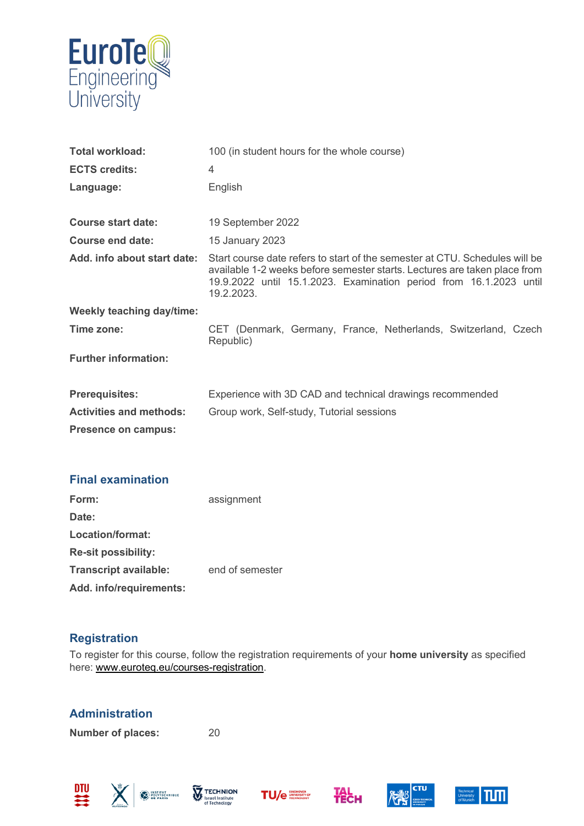

| <b>Total workload:</b>           | 100 (in student hours for the whole course)                                                                                                                                                                                                  |  |
|----------------------------------|----------------------------------------------------------------------------------------------------------------------------------------------------------------------------------------------------------------------------------------------|--|
| <b>ECTS credits:</b>             | $\overline{4}$                                                                                                                                                                                                                               |  |
| Language:                        | English                                                                                                                                                                                                                                      |  |
|                                  |                                                                                                                                                                                                                                              |  |
| <b>Course start date:</b>        | 19 September 2022                                                                                                                                                                                                                            |  |
| <b>Course end date:</b>          | 15 January 2023                                                                                                                                                                                                                              |  |
| Add. info about start date:      | Start course date refers to start of the semester at CTU. Schedules will be<br>available 1-2 weeks before semester starts. Lectures are taken place from<br>19.9.2022 until 15.1.2023. Examination period from 16.1.2023 until<br>19.2.2023. |  |
| <b>Weekly teaching day/time:</b> |                                                                                                                                                                                                                                              |  |
| Time zone:                       | CET (Denmark, Germany, France, Netherlands, Switzerland, Czech<br>Republic)                                                                                                                                                                  |  |
| <b>Further information:</b>      |                                                                                                                                                                                                                                              |  |
| <b>Prerequisites:</b>            | Experience with 3D CAD and technical drawings recommended                                                                                                                                                                                    |  |
| <b>Activities and methods:</b>   | Group work, Self-study, Tutorial sessions                                                                                                                                                                                                    |  |
| <b>Presence on campus:</b>       |                                                                                                                                                                                                                                              |  |

#### **Final examination**

| Form:                        | assignment      |
|------------------------------|-----------------|
| Date:                        |                 |
| Location/format:             |                 |
| <b>Re-sit possibility:</b>   |                 |
| <b>Transcript available:</b> | end of semester |
| Add. info/requirements:      |                 |

# **Registration**

To register for this course, follow the registration requirements of your **home university** as specified here: [www.euroteq.eu/courses-registration.](http://www.euroteq.eu/courses-registration)

# **Administration**

**Number of places:** 20

買 义